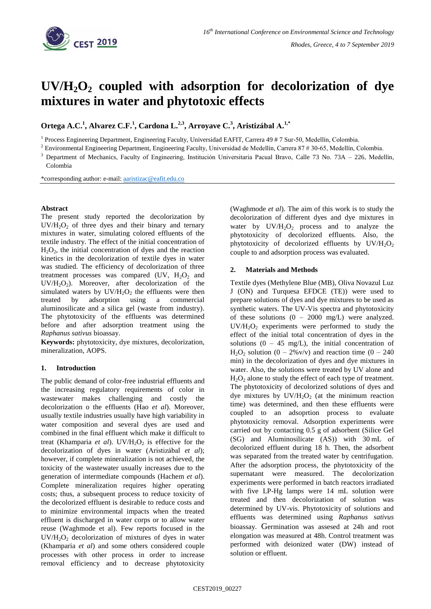

# $UV/H<sub>2</sub>O<sub>2</sub>$  coupled with adsorption for decolorization of dye **mixtures in water and phytotoxic effects**

**Ortega A.C. 1 , Alvarez C.F.<sup>1</sup> , Cardona L.2,3 , Arroyave C. 3 , Aristizábal A.1,\***

<sup>1</sup> Process Engineering Department, Engineering Faculty, Universidad EAFIT, Carrera 49 # 7 Sur-50, Medellín, Colombia.

<sup>2</sup> Environmental Engineering Department, Engineering Faculty, Universidad de Medellín, Carrera 87 # 30-65, Medellín, Colombia.

<sup>3</sup> Department of Mechanics, Faculty of Engineering, Institución Universitaria Pacual Bravo, Calle 73 No. 73A - 226, Medellín, Colombia

\*corresponding author: e-mail: [aaristizac@eafit.edu.co](mailto:aaristizac@eafit.edu.co)

## **Abstract**

The present study reported the decolorization by  $UV/H<sub>2</sub>O<sub>2</sub>$  of three dyes and their binary and ternary mixtures in water, simulating colored effluents of the textile industry. The effect of the initial concentration of  $H_2O_2$ , the initial concentration of dyes and the reaction kinetics in the decolorization of textile dyes in water was studied. The efficiency of decolorization of three treatment processes was compared (UV,  $H_2O_2$  and  $UV/H<sub>2</sub>O<sub>2</sub>$ ). Moreover, after decolorization of the simulated waters by  $UV/H<sub>2</sub>O<sub>2</sub>$  the effluents were then treated by adsorption using a commercial aluminosilicate and a silica gel (waste from industry). The phytotoxicity of the effluents was determined before and after adsorption treatment using the *Raphanus sativus* bioassay.

**Keywords:** phytotoxicity, dye mixtures, decolorization, mineralization, AOPS.

## **1. Introduction**

The public demand of color-free industrial effluents and the increasing regulatory requirements of color in wastewater makes challenging and costly the decolorization o the effluents (Hao *et al*). Moreover, usually textile industries usually have high variability in water composition and several dyes are used and combined in the final effluent which make it difficult to treat (Khamparia *et al*). UV/ $H_2O_2$  is effective for the decolorization of dyes in water (Aristizábal *et al*); however, if complete mineralization is not achieved, the toxicity of the wastewater usually increases due to the generation of intermediate compounds (Hachem *et al*). Complete mineralization requires higher operating costs; thus, a subsequent process to reduce toxicity of the decolorized effluent is desirable to reduce costs and to minimize environmental impacts when the treated effluent is discharged in water corps or to allow water reuse (Waghmode et al). Few reports focused in the  $UV/H<sub>2</sub>O<sub>2</sub>$  decolorization of mixtures of dyes in water (Khamparia *et al*) and some others considered couple processes with other process in order to increase removal efficiency and to decrease phytotoxicity

(Waghmode *et al*). The aim of this work is to study the decolorization of different dyes and dye mixtures in water by  $UV/H_2O_2$  process and to analyze the phytotoxicity of decolorized effluents. Also, the phytotoxicity of decolorized effluents by  $UV/H_2O_2$ couple to and adsorption process was evaluated.

## **2. Materials and Methods**

Textile dyes (Methylene Blue (MB), Oliva Novazul Luz J (ON) and Turquesa EFDCE (TE)) were used to prepare solutions of dyes and dye mixtures to be used as synthetic waters. The UV-Vis spectra and phytotoxicity of these solutions  $(0 - 2000 \text{ mg/L})$  were analyzed.  $UV/H<sub>2</sub>O<sub>2</sub>$  experiments were performed to study the effect of the initial total concentration of dyes in the solutions  $(0 - 45 \text{ mg/L})$ , the initial concentration of  $H_2O_2$  solution (0 – 2%v/v) and reaction time (0 – 240 min) in the decolorization of dyes and dye mixtures in water. Also, the solutions were treated by UV alone and  $H_2O_2$  alone to study the effect of each type of treatment. The phytotoxicity of decolorized solutions of dyes and dye mixtures by  $UV/H<sub>2</sub>O<sub>2</sub>$  (at the minimum reaction time) was determined, and then these effluents were coupled to an adsoprtion process to evaluate phytotoxicity removal. Adsorption experiments were carried out by contacting 0.5 g of adsorbent (Silice Gel (SG) and Aluminosilicate (AS)) with 30 mL of decolorized effluent during 18 h. Then, the adsorbent was separated from the treated water by centrifugation. After the adsorption process, the phytotoxicity of the supernatant were measured. The decolorization experiments were performed in batch reactors irradiated with five LP-Hg lamps were 14 mL solution were treated and then decolorization of solution was determined by UV-vis. Phytotoxicity of solutions and effluents was determined using *Raphanus sativus* bioassay. Germination was assesed at 24h and root elongation was measured at 48h. Control treatment was performed with deionized water (DW) instead of solution or effluent.